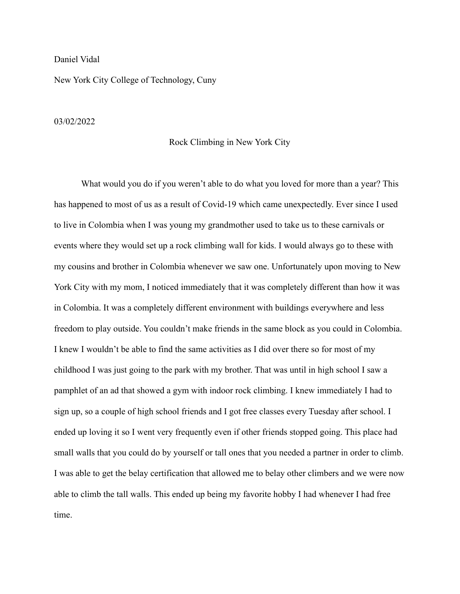## Daniel Vidal

New York City College of Technology, Cuny

## 03/02/2022

## Rock Climbing in New York City

What would you do if you weren't able to do what you loved for more than a year? This has happened to most of us as a result of Covid-19 which came unexpectedly. Ever since I used to live in Colombia when I was young my grandmother used to take us to these carnivals or events where they would set up a rock climbing wall for kids. I would always go to these with my cousins and brother in Colombia whenever we saw one. Unfortunately upon moving to New York City with my mom, I noticed immediately that it was completely different than how it was in Colombia. It was a completely different environment with buildings everywhere and less freedom to play outside. You couldn't make friends in the same block as you could in Colombia. I knew I wouldn't be able to find the same activities as I did over there so for most of my childhood I was just going to the park with my brother. That was until in high school I saw a pamphlet of an ad that showed a gym with indoor rock climbing. I knew immediately I had to sign up, so a couple of high school friends and I got free classes every Tuesday after school. I ended up loving it so I went very frequently even if other friends stopped going. This place had small walls that you could do by yourself or tall ones that you needed a partner in order to climb. I was able to get the belay certification that allowed me to belay other climbers and we were now able to climb the tall walls. This ended up being my favorite hobby I had whenever I had free time.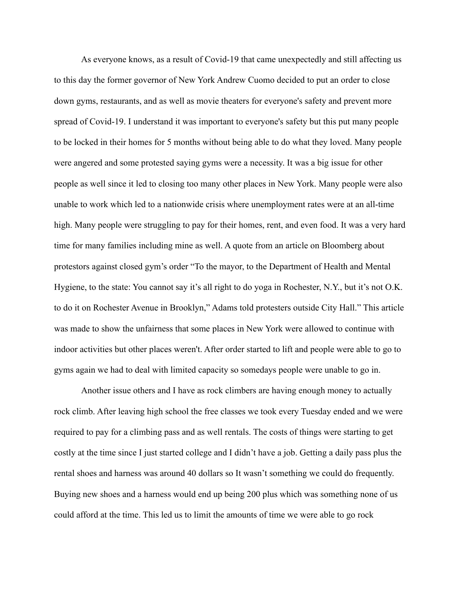As everyone knows, as a result of Covid-19 that came unexpectedly and still affecting us to this day the former governor of New York Andrew Cuomo decided to put an order to close down gyms, restaurants, and as well as movie theaters for everyone's safety and prevent more spread of Covid-19. I understand it was important to everyone's safety but this put many people to be locked in their homes for 5 months without being able to do what they loved. Many people were angered and some protested saying gyms were a necessity. It was a big issue for other people as well since it led to closing too many other places in New York. Many people were also unable to work which led to a nationwide crisis where unemployment rates were at an all-time high. Many people were struggling to pay for their homes, rent, and even food. It was a very hard time for many families including mine as well. A quote from an article on Bloomberg about protestors against closed gym's order "To the mayor, to the Department of Health and Mental Hygiene, to the state: You cannot say it's all right to do yoga in Rochester, N.Y., but it's not O.K. to do it on Rochester Avenue in Brooklyn," Adams told protesters outside City Hall." This article was made to show the unfairness that some places in New York were allowed to continue with indoor activities but other places weren't. After order started to lift and people were able to go to gyms again we had to deal with limited capacity so somedays people were unable to go in.

Another issue others and I have as rock climbers are having enough money to actually rock climb. After leaving high school the free classes we took every Tuesday ended and we were required to pay for a climbing pass and as well rentals. The costs of things were starting to get costly at the time since I just started college and I didn't have a job. Getting a daily pass plus the rental shoes and harness was around 40 dollars so It wasn't something we could do frequently. Buying new shoes and a harness would end up being 200 plus which was something none of us could afford at the time. This led us to limit the amounts of time we were able to go rock